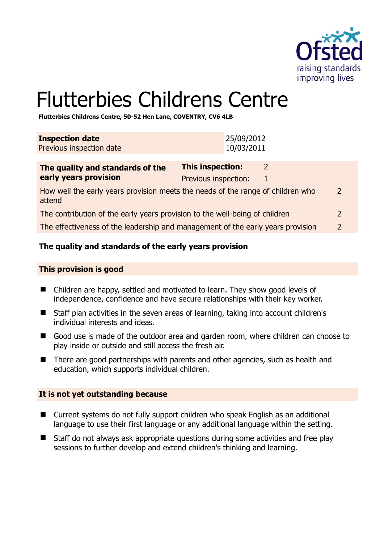

# Flutterbies Childrens Centre

**Flutterbies Childrens Centre, 50-52 Hen Lane, COVENTRY, CV6 4LB** 

| <b>Inspection date</b><br>Previous inspection date                                                         |                                          | 25/09/2012<br>10/03/2011 |               |               |
|------------------------------------------------------------------------------------------------------------|------------------------------------------|--------------------------|---------------|---------------|
| The quality and standards of the<br>early years provision                                                  | This inspection:<br>Previous inspection: |                          | 2<br>1        |               |
| How well the early years provision meets the needs of the range of children who<br>$\mathcal{P}$<br>attend |                                          |                          |               |               |
| The contribution of the early years provision to the well-being of children                                |                                          |                          | $\mathcal{L}$ |               |
| The effectiveness of the leadership and management of the early years provision                            |                                          |                          |               | $\mathcal{P}$ |

## **The quality and standards of the early years provision**

#### **This provision is good**

- Children are happy, settled and motivated to learn. They show good levels of independence, confidence and have secure relationships with their key worker.
- Staff plan activities in the seven areas of learning, taking into account children's individual interests and ideas.
- Good use is made of the outdoor area and garden room, where children can choose to play inside or outside and still access the fresh air.
- There are good partnerships with parents and other agencies, such as health and education, which supports individual children.

### **It is not yet outstanding because**

- Current systems do not fully support children who speak English as an additional language to use their first language or any additional language within the setting.
- Staff do not always ask appropriate questions during some activities and free play sessions to further develop and extend children's thinking and learning.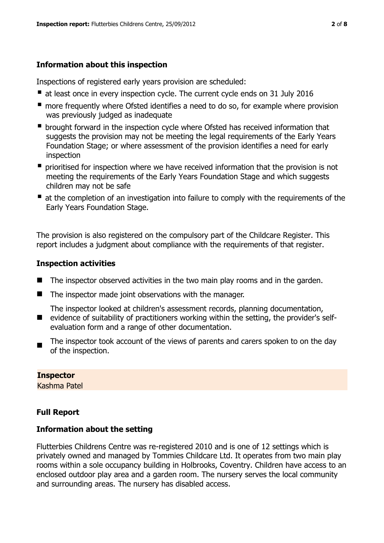# **Information about this inspection**

Inspections of registered early years provision are scheduled:

- at least once in every inspection cycle. The current cycle ends on 31 July 2016
- **n** more frequently where Ofsted identifies a need to do so, for example where provision was previously judged as inadequate
- **•** brought forward in the inspection cycle where Ofsted has received information that suggests the provision may not be meeting the legal requirements of the Early Years Foundation Stage; or where assessment of the provision identifies a need for early inspection
- **P** prioritised for inspection where we have received information that the provision is not meeting the requirements of the Early Years Foundation Stage and which suggests children may not be safe
- at the completion of an investigation into failure to comply with the requirements of the Early Years Foundation Stage.

The provision is also registered on the compulsory part of the Childcare Register. This report includes a judgment about compliance with the requirements of that register.

# **Inspection activities**

- $\blacksquare$  The inspector observed activities in the two main play rooms and in the garden.
- $\blacksquare$  The inspector made joint observations with the manager.

**E** evidence of suitability of practitioners working within the setting, the provider's self-The inspector looked at children's assessment records, planning documentation, evaluation form and a range of other documentation.

 The inspector took account of the views of parents and carers spoken to on the day of the inspection.

# **Inspector**

Kashma Patel

# **Full Report**

# **Information about the setting**

Flutterbies Childrens Centre was re-registered 2010 and is one of 12 settings which is privately owned and managed by Tommies Childcare Ltd. It operates from two main play rooms within a sole occupancy building in Holbrooks, Coventry. Children have access to an enclosed outdoor play area and a garden room. The nursery serves the local community and surrounding areas. The nursery has disabled access.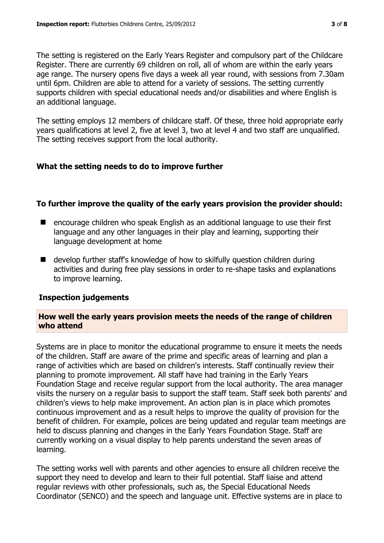The setting is registered on the Early Years Register and compulsory part of the Childcare Register. There are currently 69 children on roll, all of whom are within the early years age range. The nursery opens five days a week all year round, with sessions from 7.30am until 6pm. Children are able to attend for a variety of sessions. The setting currently supports children with special educational needs and/or disabilities and where English is an additional language.

The setting employs 12 members of childcare staff. Of these, three hold appropriate early years qualifications at level 2, five at level 3, two at level 4 and two staff are unqualified. The setting receives support from the local authority.

## **What the setting needs to do to improve further**

## **To further improve the quality of the early years provision the provider should:**

- $\blacksquare$  encourage children who speak English as an additional language to use their first language and any other languages in their play and learning, supporting their language development at home
- develop further staff's knowledge of how to skilfully question children during activities and during free play sessions in order to re-shape tasks and explanations to improve learning.

### **Inspection judgements**

## **How well the early years provision meets the needs of the range of children who attend**

Systems are in place to monitor the educational programme to ensure it meets the needs of the children. Staff are aware of the prime and specific areas of learning and plan a range of activities which are based on children's interests. Staff continually review their planning to promote improvement. All staff have had training in the Early Years Foundation Stage and receive regular support from the local authority. The area manager visits the nursery on a regular basis to support the staff team. Staff seek both parents' and children's views to help make improvement. An action plan is in place which promotes continuous improvement and as a result helps to improve the quality of provision for the benefit of children. For example, polices are being updated and regular team meetings are held to discuss planning and changes in the Early Years Foundation Stage. Staff are currently working on a visual display to help parents understand the seven areas of learning.

The setting works well with parents and other agencies to ensure all children receive the support they need to develop and learn to their full potential. Staff liaise and attend regular reviews with other professionals, such as, the Special Educational Needs Coordinator (SENCO) and the speech and language unit. Effective systems are in place to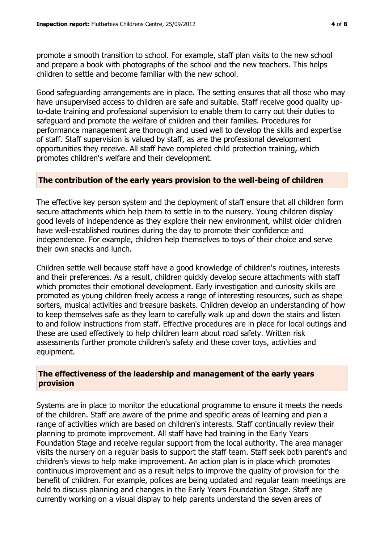promote a smooth transition to school. For example, staff plan visits to the new school and prepare a book with photographs of the school and the new teachers. This helps children to settle and become familiar with the new school.

Good safeguarding arrangements are in place. The setting ensures that all those who may have unsupervised access to children are safe and suitable. Staff receive good quality upto-date training and professional supervision to enable them to carry out their duties to safeguard and promote the welfare of children and their families. Procedures for performance management are thorough and used well to develop the skills and expertise of staff. Staff supervision is valued by staff, as are the professional development opportunities they receive. All staff have completed child protection training, which promotes children's welfare and their development.

### **The contribution of the early years provision to the well-being of children**

The effective key person system and the deployment of staff ensure that all children form secure attachments which help them to settle in to the nursery. Young children display good levels of independence as they explore their new environment, whilst older children have well-established routines during the day to promote their confidence and independence. For example, children help themselves to toys of their choice and serve their own snacks and lunch.

Children settle well because staff have a good knowledge of children's routines, interests and their preferences. As a result, children quickly develop secure attachments with staff which promotes their emotional development. Early investigation and curiosity skills are promoted as young children freely access a range of interesting resources, such as shape sorters, musical activities and treasure baskets. Children develop an understanding of how to keep themselves safe as they learn to carefully walk up and down the stairs and listen to and follow instructions from staff. Effective procedures are in place for local outings and these are used effectively to help children learn about road safety. Written risk assessments further promote children's safety and these cover toys, activities and equipment.

### **The effectiveness of the leadership and management of the early years provision**

Systems are in place to monitor the educational programme to ensure it meets the needs of the children. Staff are aware of the prime and specific areas of learning and plan a range of activities which are based on children's interests. Staff continually review their planning to promote improvement. All staff have had training in the Early Years Foundation Stage and receive regular support from the local authority. The area manager visits the nursery on a regular basis to support the staff team. Staff seek both parent's and children's views to help make improvement. An action plan is in place which promotes continuous improvement and as a result helps to improve the quality of provision for the benefit of children. For example, polices are being updated and regular team meetings are held to discuss planning and changes in the Early Years Foundation Stage. Staff are currently working on a visual display to help parents understand the seven areas of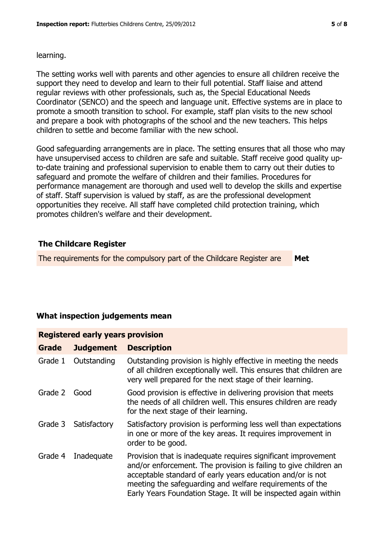#### learning.

The setting works well with parents and other agencies to ensure all children receive the support they need to develop and learn to their full potential. Staff liaise and attend regular reviews with other professionals, such as, the Special Educational Needs Coordinator (SENCO) and the speech and language unit. Effective systems are in place to promote a smooth transition to school. For example, staff plan visits to the new school and prepare a book with photographs of the school and the new teachers. This helps children to settle and become familiar with the new school.

Good safeguarding arrangements are in place. The setting ensures that all those who may have unsupervised access to children are safe and suitable. Staff receive good quality upto-date training and professional supervision to enable them to carry out their duties to safeguard and promote the welfare of children and their families. Procedures for performance management are thorough and used well to develop the skills and expertise of staff. Staff supervision is valued by staff, as are the professional development opportunities they receive. All staff have completed child protection training, which promotes children's welfare and their development.

# **The Childcare Register**

The requirements for the compulsory part of the Childcare Register are **Met**

# **What inspection judgements mean**

| <b>Grade</b> | <b>Judgement</b> | <b>Description</b>                                                                                                                                                                                                                                                                                                             |  |  |  |
|--------------|------------------|--------------------------------------------------------------------------------------------------------------------------------------------------------------------------------------------------------------------------------------------------------------------------------------------------------------------------------|--|--|--|
| Grade 1      | Outstanding      | Outstanding provision is highly effective in meeting the needs<br>of all children exceptionally well. This ensures that children are<br>very well prepared for the next stage of their learning.                                                                                                                               |  |  |  |
| Grade 2      | Good             | Good provision is effective in delivering provision that meets<br>the needs of all children well. This ensures children are ready<br>for the next stage of their learning.                                                                                                                                                     |  |  |  |
| Grade 3      | Satisfactory     | Satisfactory provision is performing less well than expectations<br>in one or more of the key areas. It requires improvement in<br>order to be good.                                                                                                                                                                           |  |  |  |
| Grade 4      | Inadequate       | Provision that is inadequate requires significant improvement<br>and/or enforcement. The provision is failing to give children an<br>acceptable standard of early years education and/or is not<br>meeting the safeguarding and welfare requirements of the<br>Early Years Foundation Stage. It will be inspected again within |  |  |  |

# **Registered early years provision**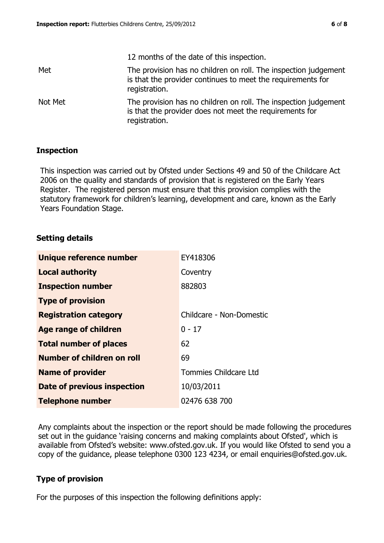|         | 12 months of the date of this inspection.                                                                                                       |
|---------|-------------------------------------------------------------------------------------------------------------------------------------------------|
| Met     | The provision has no children on roll. The inspection judgement<br>is that the provider continues to meet the requirements for<br>registration. |
| Not Met | The provision has no children on roll. The inspection judgement<br>is that the provider does not meet the requirements for<br>registration.     |

### **Inspection**

This inspection was carried out by Ofsted under Sections 49 and 50 of the Childcare Act 2006 on the quality and standards of provision that is registered on the Early Years Register. The registered person must ensure that this provision complies with the statutory framework for children's learning, development and care, known as the Early Years Foundation Stage.

### **Setting details**

| Unique reference number       | EY418306                 |
|-------------------------------|--------------------------|
| <b>Local authority</b>        | Coventry                 |
| <b>Inspection number</b>      | 882803                   |
| <b>Type of provision</b>      |                          |
| <b>Registration category</b>  | Childcare - Non-Domestic |
| Age range of children         | $0 - 17$                 |
| <b>Total number of places</b> | 62                       |
| Number of children on roll    | 69                       |
| <b>Name of provider</b>       | Tommies Childcare Ltd    |
| Date of previous inspection   | 10/03/2011               |
| <b>Telephone number</b>       | 02476 638 700            |

Any complaints about the inspection or the report should be made following the procedures set out in the guidance 'raising concerns and making complaints about Ofsted', which is available from Ofsted's website: www.ofsted.gov.uk. If you would like Ofsted to send you a copy of the guidance, please telephone 0300 123 4234, or email enquiries@ofsted.gov.uk.

### **Type of provision**

For the purposes of this inspection the following definitions apply: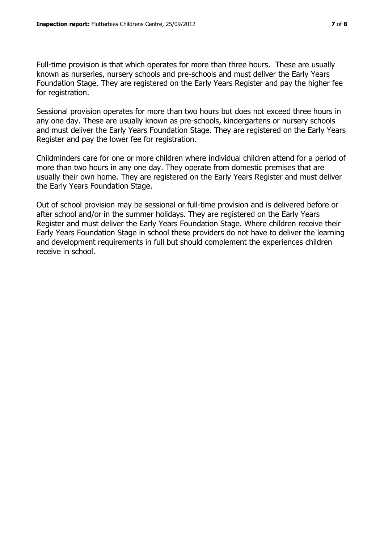Full-time provision is that which operates for more than three hours. These are usually known as nurseries, nursery schools and pre-schools and must deliver the Early Years Foundation Stage. They are registered on the Early Years Register and pay the higher fee for registration.

Sessional provision operates for more than two hours but does not exceed three hours in any one day. These are usually known as pre-schools, kindergartens or nursery schools and must deliver the Early Years Foundation Stage. They are registered on the Early Years Register and pay the lower fee for registration.

Childminders care for one or more children where individual children attend for a period of more than two hours in any one day. They operate from domestic premises that are usually their own home. They are registered on the Early Years Register and must deliver the Early Years Foundation Stage.

Out of school provision may be sessional or full-time provision and is delivered before or after school and/or in the summer holidays. They are registered on the Early Years Register and must deliver the Early Years Foundation Stage. Where children receive their Early Years Foundation Stage in school these providers do not have to deliver the learning and development requirements in full but should complement the experiences children receive in school.